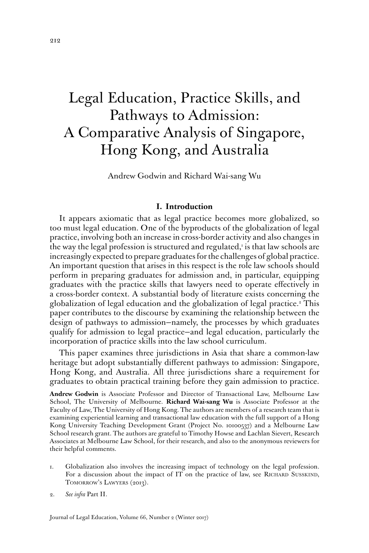# Legal Education, Practice Skills, and Pathways to Admission: A Comparative Analysis of Singapore, Hong Kong, and Australia

Andrew Godwin and Richard Wai-sang Wu

## **I. Introduction**

It appears axiomatic that as legal practice becomes more globalized, so too must legal education. One of the byproducts of the globalization of legal practice, involving both an increase in cross-border activity and also changes in the way the legal profession is structured and regulated,<sup>1</sup> is that law schools are increasingly expected to prepare graduates for the challenges of global practice. An important question that arises in this respect is the role law schools should perform in preparing graduates for admission and, in particular, equipping graduates with the practice skills that lawyers need to operate effectively in a cross-border context. A substantial body of literature exists concerning the globalization of legal education and the globalization of legal practice.<sup>2</sup> This paper contributes to the discourse by examining the relationship between the design of pathways to admission—namely, the processes by which graduates qualify for admission to legal practice—and legal education, particularly the incorporation of practice skills into the law school curriculum.

This paper examines three jurisdictions in Asia that share a common-law heritage but adopt substantially different pathways to admission: Singapore, Hong Kong, and Australia. All three jurisdictions share a requirement for graduates to obtain practical training before they gain admission to practice.

**Andrew Godwin** is Associate Professor and Director of Transactional Law, Melbourne Law School, The University of Melbourne. **Richard Wai-sang Wu** is Associate Professor at the Faculty of Law, The University of Hong Kong. The authors are members of a research team that is examining experiential learning and transactional law education with the full support of a Hong Kong University Teaching Development Grant (Project No. 10100537) and a Melbourne Law School research grant. The authors are grateful to Timothy Howse and Lachlan Sievert, Research Associates at Melbourne Law School, for their research, and also to the anonymous reviewers for their helpful comments.

- 1. Globalization also involves the increasing impact of technology on the legal profession. For a discussion about the impact of IT on the practice of law, see RICHARD SUSSKIND, TOMORROW'S LAWYERS (2013).
- 2. *See infra* Part II.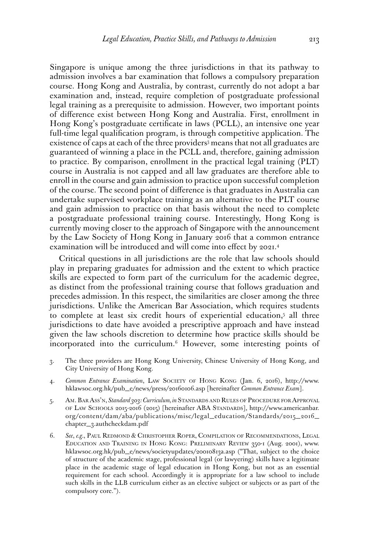Singapore is unique among the three jurisdictions in that its pathway to admission involves a bar examination that follows a compulsory preparation course. Hong Kong and Australia, by contrast, currently do not adopt a bar examination and, instead, require completion of postgraduate professional legal training as a prerequisite to admission. However, two important points of difference exist between Hong Kong and Australia. First, enrollment in Hong Kong's postgraduate certificate in laws (PCLL), an intensive one year full-time legal qualification program, is through competitive application. The existence of caps at each of the three providers<sup>3</sup> means that not all graduates are guaranteed of winning a place in the PCLL and, therefore, gaining admission to practice. By comparison, enrollment in the practical legal training (PLT) course in Australia is not capped and all law graduates are therefore able to enroll in the course and gain admission to practice upon successful completion of the course. The second point of difference is that graduates in Australia can undertake supervised workplace training as an alternative to the PLT course and gain admission to practice on that basis without the need to complete a postgraduate professional training course. Interestingly, Hong Kong is currently moving closer to the approach of Singapore with the announcement by the Law Society of Hong Kong in January 2016 that a common entrance examination will be introduced and will come into effect by 2021.4

Critical questions in all jurisdictions are the role that law schools should play in preparing graduates for admission and the extent to which practice skills are expected to form part of the curriculum for the academic degree, as distinct from the professional training course that follows graduation and precedes admission. In this respect, the similarities are closer among the three jurisdictions. Unlike the American Bar Association, which requires students to complete at least six credit hours of experiential education,<sup>5</sup> all three jurisdictions to date have avoided a prescriptive approach and have instead given the law schools discretion to determine how practice skills should be incorporated into the curriculum.6 However, some interesting points of

- 3. The three providers are Hong Kong University, Chinese University of Hong Kong, and City University of Hong Kong.
- 4. *Common Entrance Examination*, Law Society of Hong Kong (Jan. 6, 2016), [http://www.](http://www.hklawsoc.org.hk/pub_e/news/press/20160106.asp) [hklawsoc.org.hk/pub\\_e/news/press/20160106.asp](http://www.hklawsoc.org.hk/pub_e/news/press/20160106.asp) [hereinafter *Common Entrance Exam*].
- 5. Am. Bar Ass'n, *Standard 303: Curriculum, in* Standards and Rules of Procedure for Approval of Law Schools 2015-2016 (2015) [hereinafter ABA Standards], [http://www.americanbar.](http://www.americanbar.org/content/dam/aba/publications/misc/legal_education/Standards/2015_2016_chapter_3.authcheckdam.pdf) [org/content/dam/aba/publications/misc/legal\\_education/Standards/2015\\_2016\\_](http://www.americanbar.org/content/dam/aba/publications/misc/legal_education/Standards/2015_2016_chapter_3.authcheckdam.pdf) [chapter\\_3.authcheckdam.pdf](http://www.americanbar.org/content/dam/aba/publications/misc/legal_education/Standards/2015_2016_chapter_3.authcheckdam.pdf)
- 6. *See*, *e.g.*, Paul Redmond & Christopher Roper, Compilation of Recommendations, Legal Education and Training in Hong Kong: Preliminary Review 350-1 (Aug. 2001), www. hklawsoc.org.hk/pub\_e/news/societyupdates/20010813a.asp ("That, subject to the choice of structure of the academic stage, professional legal (or lawyering) skills have a legitimate place in the academic stage of legal education in Hong Kong, but not as an essential requirement for each school. Accordingly it is appropriate for a law school to include such skills in the LLB curriculum either as an elective subject or subjects or as part of the compulsory core.").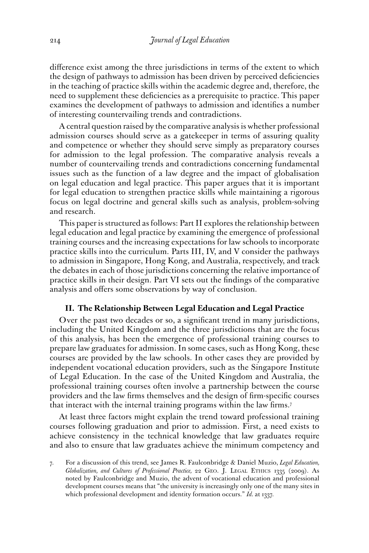difference exist among the three jurisdictions in terms of the extent to which the design of pathways to admission has been driven by perceived deficiencies in the teaching of practice skills within the academic degree and, therefore, the need to supplement these deficiencies as a prerequisite to practice. This paper examines the development of pathways to admission and identifies a number of interesting countervailing trends and contradictions.

A central question raised by the comparative analysis is whether professional admission courses should serve as a gatekeeper in terms of assuring quality and competence or whether they should serve simply as preparatory courses for admission to the legal profession. The comparative analysis reveals a number of countervailing trends and contradictions concerning fundamental issues such as the function of a law degree and the impact of globalisation on legal education and legal practice. This paper argues that it is important for legal education to strengthen practice skills while maintaining a rigorous focus on legal doctrine and general skills such as analysis, problem-solving and research.

This paper is structured as follows: Part II explores the relationship between legal education and legal practice by examining the emergence of professional training courses and the increasing expectations for law schools to incorporate practice skills into the curriculum. Parts III, IV, and V consider the pathways to admission in Singapore, Hong Kong, and Australia, respectively, and track the debates in each of those jurisdictions concerning the relative importance of practice skills in their design. Part VI sets out the findings of the comparative analysis and offers some observations by way of conclusion.

# **II. The Relationship Between Legal Education and Legal Practice**

Over the past two decades or so, a significant trend in many jurisdictions, including the United Kingdom and the three jurisdictions that are the focus of this analysis, has been the emergence of professional training courses to prepare law graduates for admission. In some cases, such as Hong Kong, these courses are provided by the law schools. In other cases they are provided by independent vocational education providers, such as the Singapore Institute of Legal Education. In the case of the United Kingdom and Australia, the professional training courses often involve a partnership between the course providers and the law firms themselves and the design of firm-specific courses that interact with the internal training programs within the law firms.7

At least three factors might explain the trend toward professional training courses following graduation and prior to admission. First, a need exists to achieve consistency in the technical knowledge that law graduates require and also to ensure that law graduates achieve the minimum competency and

<sup>7.</sup> For a discussion of this trend, see James R. Faulconbridge & Daniel Muzio, *Legal Education,*  Globalization, and Cultures of Professional Practice, 22 GEO. J. LEGAL ETHICS 1335 (2009). As noted by Faulconbridge and Muzio, the advent of vocational education and professional development courses means that "the university is increasingly only one of the many sites in which professional development and identity formation occurs." *Id.* at 1337.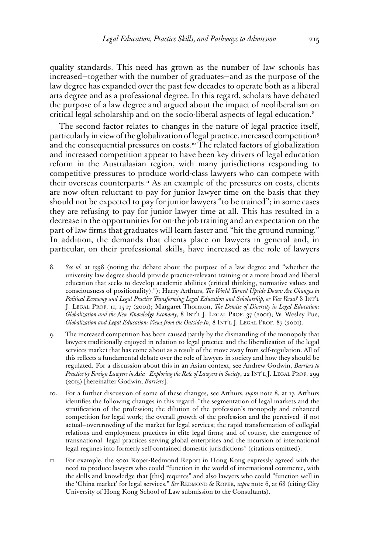quality standards. This need has grown as the number of law schools has increased—together with the number of graduates—and as the purpose of the law degree has expanded over the past few decades to operate both as a liberal arts degree and as a professional degree. In this regard, scholars have debated the purpose of a law degree and argued about the impact of neoliberalism on critical legal scholarship and on the socio-liberal aspects of legal education.8

The second factor relates to changes in the nature of legal practice itself, particularly in view of the globalization of legal practice, increased competition9 and the consequential pressures on costs.<sup>10</sup> The related factors of globalization and increased competition appear to have been key drivers of legal education reform in the Australasian region, with many jurisdictions responding to competitive pressures to produce world-class lawyers who can compete with their overseas counterparts.<sup>11</sup> As an example of the pressures on costs, clients are now often reluctant to pay for junior lawyer time on the basis that they should not be expected to pay for junior lawyers "to be trained"; in some cases they are refusing to pay for junior lawyer time at all. This has resulted in a decrease in the opportunities for on-the-job training and an expectation on the part of law firms that graduates will learn faster and "hit the ground running." In addition, the demands that clients place on lawyers in general and, in particular, on their professional skills, have increased as the role of lawyers

- 8. *See id.* at 1338 (noting the debate about the purpose of a law degree and "whether the university law degree should provide practice-relevant training or a more broad and liberal education that seeks to develop academic abilities (critical thinking, normative values and consciousness of positionality)."); Harry Arthurs, *The World Turned Upside Down: Are Changes in Political Economy and Legal Practice Transforming Legal Education and Scholarship, or Vice Versa?* 8 Int'l J. Legal Prof. 11, 15-17 (2001); Margaret Thornton, *The Demise of Diversity in Legal Education:*  Globalization and the New Knowledge Economy, 8 INT'L J. LEGAL PROF. 37 (2001); W. Wesley Pue, *Globalization and Legal Education: Views from the Outside-In*, 8 INT'L J. LEGAL PROF. 87 (2001).
- 9. The increased competition has been caused partly by the dismantling of the monopoly that lawyers traditionally enjoyed in relation to legal practice and the liberalization of the legal services market that has come about as a result of the move away from self-regulation. All of this reflects a fundamental debate over the role of lawyers in society and how they should be regulated. For a discussion about this in an Asian context, see Andrew Godwin, *Barriers to Practice by Foreign Lawyers in Asia—Exploring the Role of Lawyers in Society*, 22 INT'L J. LEGAL PROF. 299 (2015) [hereinafter Godwin, *Barriers*].
- 10. For a further discussion of some of these changes, see Arthurs*, supra* note 8, at 17. Arthurs identifies the following changes in this regard: "the segmentation of legal markets and the stratification of the profession; the dilution of the profession's monopoly and enhanced competition for legal work; the overall growth of the profession and the perceived—if not actual—overcrowding of the market for legal services; the rapid transformation of collegial relations and employment practices in elite legal firms; and of course, the emergence of transnational legal practices serving global enterprises and the incursion of international legal regimes into formerly self-contained domestic jurisdictions" (citations omitted).
- 11. For example, the 2001 Roper-Redmond Report in Hong Kong expressly agreed with the need to produce lawyers who could "function in the world of international commerce, with the skills and knowledge that [this] requires" and also lawyers who could "function well in the 'China market' for legal services." *See* REDMOND & ROPER, *supra* note 6, at 68 (citing City University of Hong Kong School of Law submission to the Consultants).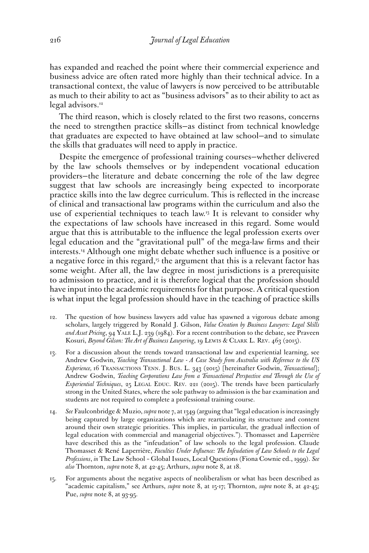has expanded and reached the point where their commercial experience and business advice are often rated more highly than their technical advice. In a transactional context, the value of lawyers is now perceived to be attributable as much to their ability to act as "business advisors" as to their ability to act as legal advisors.<sup>12</sup>

The third reason, which is closely related to the first two reasons, concerns the need to strengthen practice skills—as distinct from technical knowledge that graduates are expected to have obtained at law school—and to simulate the skills that graduates will need to apply in practice.

Despite the emergence of professional training courses—whether delivered by the law schools themselves or by independent vocational education providers—the literature and debate concerning the role of the law degree suggest that law schools are increasingly being expected to incorporate practice skills into the law degree curriculum. This is reflected in the increase of clinical and transactional law programs within the curriculum and also the use of experiential techniques to teach law.13 It is relevant to consider why the expectations of law schools have increased in this regard. Some would argue that this is attributable to the influence the legal profession exerts over legal education and the "gravitational pull" of the mega-law firms and their interests.14 Although one might debate whether such influence is a positive or a negative force in this regard,<sup>15</sup> the argument that this is a relevant factor has some weight. After all, the law degree in most jurisdictions is a prerequisite to admission to practice, and it is therefore logical that the profession should have input into the academic requirements for that purpose. A critical question is what input the legal profession should have in the teaching of practice skills

- 12. The question of how business lawyers add value has spawned a vigorous debate among scholars, largely triggered by Ronald J. Gilson, *Value Creation by Business Lawyers: Legal Skills and Asset Pricing*, 94 Yale L.J. 239 (1984). For a recent contribution to the debate, see Praveen Kosuri, *Beyond Gilson: The Art of Business Lawyering*, 19 LEWIS & CLARK L. REV. 463 (2015).
- 13. For a discussion about the trends toward transactional law and experiential learning, see Andrew Godwin, *Teaching Transactional Law - A Case Study from Australia with Reference to the US Experience,* 16 Transactions Tenn. J. Bus. L. 343 (2015) [hereinafter Godwin, *Transactional*]; Andrew Godwin, *Teaching Corporations Law from a Transactional Perspective and Through the Use of Experiential Techniques*, 25 LEGAL EDUC. REV. 221 (2015). The trends have been particularly strong in the United States, where the sole pathway to admission is the bar examination and students are not required to complete a professional training course.
- 14. *See* Faulconbridge & Muzio, *supra* note 7, at 1349 (arguing that "legal education is increasingly being captured by large organizations which are rearticulating its structure and content around their own strategic priorities. This implies, in particular, the gradual inflection of legal education with commercial and managerial objectives."). Thomasset and Laperrière have described this as the "infeudation" of law schools to the legal profession. Claude Thomasset & René Laperrière, *Faculties Under Influence: The Infeudation of Law Schools to the Legal Professions*, *in* The Law School – Global Issues, Local Questions (Fiona Cownie ed., 1999). *See also* Thornton, *supra* note 8, at 42-45; Arthurs, *supra* note 8, at 18.
- 15. For arguments about the negative aspects of neoliberalism or what has been described as "academic capitalism," see Arthurs, *supra* note 8, at 15-17; Thornton, *supra* note 8, at 42-45; Pue, *supra* note 8, at 93-95.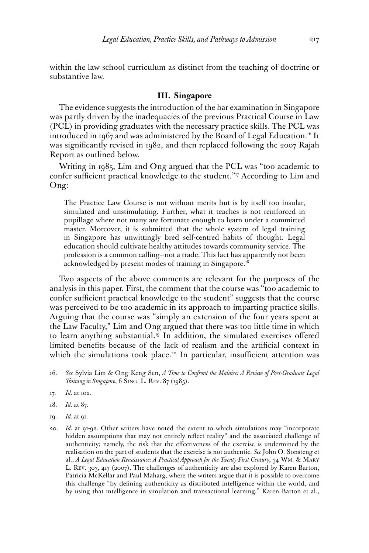within the law school curriculum as distinct from the teaching of doctrine or substantive law.

## **III. Singapore**

The evidence suggests the introduction of the bar examination in Singapore was partly driven by the inadequacies of the previous Practical Course in Law (PCL) in providing graduates with the necessary practice skills. The PCL was introduced in 1967 and was administered by the Board of Legal Education.<sup>16</sup> It was significantly revised in 1982, and then replaced following the 2007 Rajah Report as outlined below.

Writing in 1985, Lim and Ong argued that the PCL was "too academic to confer sufficient practical knowledge to the student."<sup>17</sup> According to Lim and Ong:

The Practice Law Course is not without merits but is by itself too insular, simulated and unstimulating. Further, what it teaches is not reinforced in pupillage where not many are fortunate enough to learn under a committed master. Moreover, it is submitted that the whole system of legal training in Singapore has unwittingly bred self-centred habits of thought. Legal education should cultivate healthy attitudes towards community service. The profession is a common calling—not a trade. This fact has apparently not been acknowledged by present modes of training in Singapore.<sup>18</sup>

Two aspects of the above comments are relevant for the purposes of the analysis in this paper. First, the comment that the course was "too academic to confer sufficient practical knowledge to the student" suggests that the course was perceived to be too academic in its approach to imparting practice skills. Arguing that the course was "simply an extension of the four years spent at the Law Faculty," Lim and Ong argued that there was too little time in which to learn anything substantial.19 In addition, the simulated exercises offered limited benefits because of the lack of realism and the artificial context in which the simulations took place.<sup>20</sup> In particular, insufficient attention was

- 16. *See* Sylvia Lim & Ong Keng Sen, *A Time to Confront the Malaise: A Review of Post-Graduate Legal Training in Singapore*, 6 Sing. L. Rev. 87 (1985).
- 17. *Id.* at 102.
- 18. *Id.* at 87.
- 19. *Id.* at 91.
- 20. *Id.* at 91-92. Other writers have noted the extent to which simulations may "incorporate hidden assumptions that may not entirely reflect reality" and the associated challenge of authenticity; namely, the risk that the effectiveness of the exercise is undermined by the realisation on the part of students that the exercise is not authentic. *See* John O. Sonsteng et al., *A Legal Education Renaissance: A Practical Approach for the Twenty-First Century*, 34 Wm. & Mary L. Rev. 303, 417 (2007). The challenges of authenticity are also explored by Karen Barton, Patricia McKellar and Paul Maharg, where the writers argue that it is possible to overcome this challenge "by defining authenticity as distributed intelligence within the world, and by using that intelligence in simulation and transactional learning." Karen Barton et al.,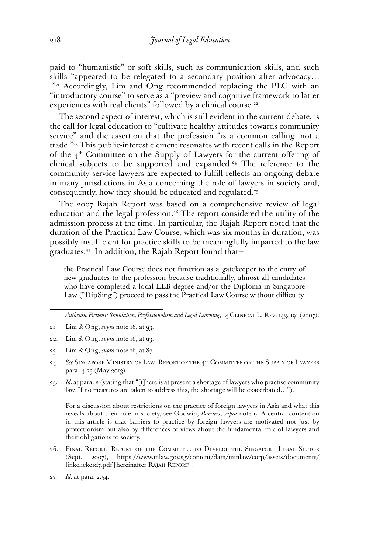paid to "humanistic" or soft skills, such as communication skills, and such skills "appeared to be relegated to a secondary position after advocacy…  $2^{n_{21}}$  Accordingly, Lim and Ong recommended replacing the PLC with an "introductory course" to serve as a "preview and cognitive framework to latter experiences with real clients" followed by a clinical course.<sup>22</sup>

The second aspect of interest, which is still evident in the current debate, is the call for legal education to "cultivate healthy attitudes towards community service" and the assertion that the profession "is a common calling—not a trade."23 This public-interest element resonates with recent calls in the Report of the  $4<sup>th</sup>$  Committee on the Supply of Lawyers for the current offering of clinical subjects to be supported and expanded.<sup>24</sup> The reference to the community service lawyers are expected to fulfill reflects an ongoing debate in many jurisdictions in Asia concerning the role of lawyers in society and, consequently, how they should be educated and regulated.<sup>25</sup>

The 2007 Rajah Report was based on a comprehensive review of legal education and the legal profession.26 The report considered the utility of the admission process at the time. In particular, the Rajah Report noted that the duration of the Practical Law Course, which was six months in duration, was possibly insufficient for practice skills to be meaningfully imparted to the law graduates.27 In addition, the Rajah Report found that—

the Practical Law Course does not function as a gatekeeper to the entry of new graduates to the profession because traditionally, almost all candidates who have completed a local LLB degree and/or the Diploma in Singapore Law ("DipSing") proceed to pass the Practical Law Course without difficulty.

*Authentic Fictions: Simulation, Professionalism and Legal Learning*, 14 Clinical L. Rev. 143, 191 (2007).

- 24. *See* Singapore Ministry of Law, Report of the 4th Committee on the Supply of Lawyers para. 4.23 (May 2013).
- 25. *Id.* at para. 2 (stating that "[t]here is at present a shortage of lawyers who practise community law. If no measures are taken to address this, the shortage will be exacerbated…").

For a discussion about restrictions on the practice of foreign lawyers in Asia and what this reveals about their role in society, see Godwin, *Barriers*, *supra* note 9. A central contention in this article is that barriers to practice by foreign lawyers are motivated not just by protectionism but also by differences of views about the fundamental role of lawyers and their obligations to society.

26. Final Report, Report of the Committee to Develop the Singapore Legal Sector (Sept. 2007), [https://www.mlaw.gov.sg/content/dam/minlaw/corp/assets/documents/](https://www.mlaw.gov.sg/content/dam/minlaw/corp/assets/documents/linkclicke1d7.pdf) linkclickerd7.pdf [hereinafter RAJAH REPORT].

<sup>21.</sup> Lim & Ong, *supra* note 16, at 93.

<sup>22.</sup> Lim & Ong, *supra* note 16, at 93.

<sup>23.</sup> Lim & Ong, *supra* note 16, at 87.

<sup>27.</sup> *Id.* at para. 2.54.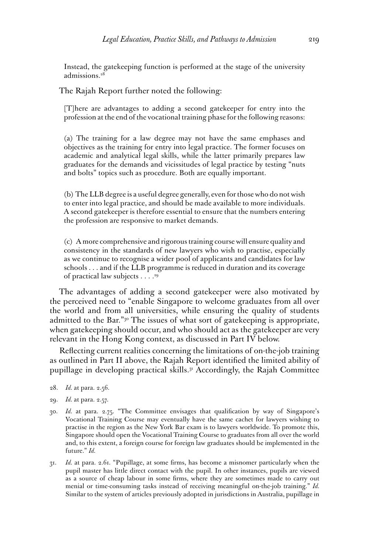Instead, the gatekeeping function is performed at the stage of the university admissions.28

The Rajah Report further noted the following:

[T]here are advantages to adding a second gatekeeper for entry into the profession at the end of the vocational training phase for the following reasons:

(a) The training for a law degree may not have the same emphases and objectives as the training for entry into legal practice. The former focuses on academic and analytical legal skills, while the latter primarily prepares law graduates for the demands and vicissitudes of legal practice by testing "nuts and bolts" topics such as procedure. Both are equally important.

(b) The LLB degree is a useful degree generally, even for those who do not wish to enter into legal practice, and should be made available to more individuals. A second gatekeeper is therefore essential to ensure that the numbers entering the profession are responsive to market demands.

(c) A more comprehensive and rigorous training course will ensure quality and consistency in the standards of new lawyers who wish to practise, especially as we continue to recognise a wider pool of applicants and candidates for law schools . . . and if the LLB programme is reduced in duration and its coverage of practical law subjects . . . .29

The advantages of adding a second gatekeeper were also motivated by the perceived need to "enable Singapore to welcome graduates from all over the world and from all universities, while ensuring the quality of students admitted to the Bar."<sup>30</sup> The issues of what sort of gatekeeping is appropriate, when gatekeeping should occur, and who should act as the gatekeeper are very relevant in the Hong Kong context, as discussed in Part IV below.

Reflecting current realities concerning the limitations of on-the-job training as outlined in Part II above, the Rajah Report identified the limited ability of pupillage in developing practical skills.31 Accordingly, the Rajah Committee

- 28. *Id.* at para. 2.56.
- 29. *Id.* at para. 2.57.
- 30. *Id.* at para. 2.75. "The Committee envisages that qualification by way of Singapore's Vocational Training Course may eventually have the same cachet for lawyers wishing to practise in the region as the New York Bar exam is to lawyers worldwide. To promote this, Singapore should open the Vocational Training Course to graduates from all over the world and, to this extent, a foreign course for foreign law graduates should be implemented in the future." *Id.*
- 31. *Id.* at para. 2.61. "Pupillage, at some firms, has become a misnomer particularly when the pupil master has little direct contact with the pupil. In other instances, pupils are viewed as a source of cheap labour in some firms, where they are sometimes made to carry out menial or time-consuming tasks instead of receiving meaningful on-the-job training." *Id.*  Similar to the system of articles previously adopted in jurisdictions in Australia, pupillage in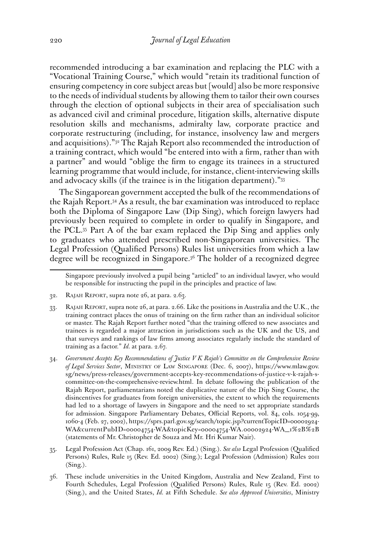recommended introducing a bar examination and replacing the PLC with a "Vocational Training Course," which would "retain its traditional function of ensuring competency in core subject areas but [would] also be more responsive to the needs of individual students by allowing them to tailor their own courses through the election of optional subjects in their area of specialisation such as advanced civil and criminal procedure, litigation skills, alternative dispute resolution skills and mechanisms, admiralty law, corporate practice and corporate restructuring (including, for instance, insolvency law and mergers and acquisitions)."32 The Rajah Report also recommended the introduction of a training contract, which would "be entered into with a firm, rather than with a partner" and would "oblige the firm to engage its trainees in a structured learning programme that would include, for instance, client-interviewing skills and advocacy skills (if the trainee is in the litigation department)."33

The Singaporean government accepted the bulk of the recommendations of the Rajah Report.34 As a result, the bar examination was introduced to replace both the Diploma of Singapore Law (Dip Sing), which foreign lawyers had previously been required to complete in order to qualify in Singapore, and the PCL.35 Part A of the bar exam replaced the Dip Sing and applies only to graduates who attended prescribed non-Singaporean universities. The Legal Profession (Qualified Persons) Rules list universities from which a law degree will be recognized in Singapore.36 The holder of a recognized degree

- 32. Rajah Report, supra note 26, at para. 2.63.
- 33. Rajah Report, supra note 26, at para. 2.66. Like the positions in Australia and the U.K., the training contract places the onus of training on the firm rather than an individual solicitor or master. The Rajah Report further noted "that the training offered to new associates and trainees is regarded a major attraction in jurisdictions such as the UK and the US, and that surveys and rankings of law firms among associates regularly include the standard of training as a factor." *Id.* at para. 2.67.
- 34. *Government Accepts Key Recommendations of Justice V K Rajah's Committee on the Comprehensive Review of Legal Services Sector*, Ministry of Law Singapore (Dec. 6, 2007), https://www.mlaw.gov. sg/news/press-releases/government-accepts-key-recommendations-of-justice-v-k-rajah-scommittee-on-the-comprehensive-review.html. In debate following the publication of the Rajah Report, parliamentarians noted the duplicative nature of the Dip Sing Course, the disincentives for graduates from foreign universities, the extent to which the requirements had led to a shortage of lawyers in Singapore and the need to set appropriate standards for admission. Singapore Parliamentary Debates, Official Reports, vol. 84, cols. 1054-99, 1060-4 (Feb. 27, 2002), [https://sprs.parl.gov.sg/search/topic.jsp?currentTopicID=00002924-](https://sprs.parl.gov.sg/search/topic.jsp?currentTopicID=00002924-WA¤tPubID=00004754-WA&topicKey=00004754-WA.00002924-WA_1%2B%2B) [WA&currentPubID=00004754-WA&topicKey=00004754-WA.00002924-WA\\_1%2B%2B](https://sprs.parl.gov.sg/search/topic.jsp?currentTopicID=00002924-WA¤tPubID=00004754-WA&topicKey=00004754-WA.00002924-WA_1%2B%2B) (statements of Mr. Christopher de Souza and Mr. Hri Kumar Nair).
- 35. Legal Profession Act (Chap. 161, 2009 Rev. Ed.) (Sing.). *See also* Legal Profession (Qualified Persons) Rules, Rule 15 (Rev. Ed. 2002) (Sing.); Legal Profession (Admission) Rules 2011 (Sing.).
- 36. These include universities in the United Kingdom, Australia and New Zealand, First to Fourth Schedules, Legal Profession (Qualified Persons) Rules, Rule 15 (Rev. Ed. 2002) (Sing.), and the United States, *Id.* at Fifth Schedule. *See also Approved Universities*, Ministry

Singapore previously involved a pupil being "articled" to an individual lawyer, who would be responsible for instructing the pupil in the principles and practice of law.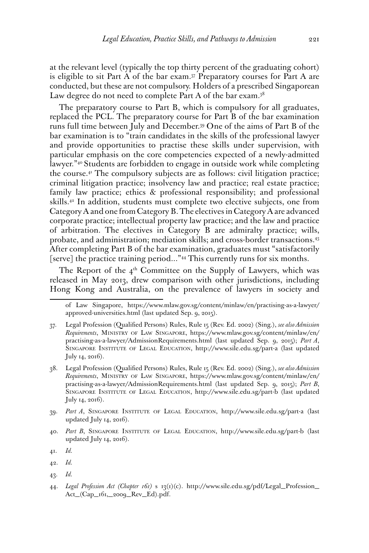at the relevant level (typically the top thirty percent of the graduating cohort) is eligible to sit Part A of the bar exam.37 Preparatory courses for Part A are conducted, but these are not compulsory. Holders of a prescribed Singaporean Law degree do not need to complete Part A of the bar exam.<sup>38</sup>

The preparatory course to Part B, which is compulsory for all graduates, replaced the PCL. The preparatory course for Part B of the bar examination runs full time between July and December.39 One of the aims of Part B of the bar examination is to "train candidates in the skills of the professional lawyer and provide opportunities to practise these skills under supervision, with particular emphasis on the core competencies expected of a newly-admitted lawyer."40 Students are forbidden to engage in outside work while completing the course.41 The compulsory subjects are as follows: civil litigation practice; criminal litigation practice; insolvency law and practice; real estate practice; family law practice; ethics & professional responsibility; and professional skills.42 In addition, students must complete two elective subjects, one from Category A and one from Category B. The electives in Category A are advanced corporate practice; intellectual property law practice; and the law and practice of arbitration. The electives in Category B are admiralty practice; wills, probate, and administration; mediation skills; and cross-border transactions.43 After completing Part B of the bar examination, graduates must "satisfactorily [serve] the practice training period..."44 This currently runs for six months.

The Report of the  $4<sup>th</sup>$  Committee on the Supply of Lawyers, which was released in May 2013, drew comparison with other jurisdictions, including Hong Kong and Australia, on the prevalence of lawyers in society and

40. *Part B*, Singapore Institute of Legal Education, http://www.sile.edu.sg/part-b (last updated July 14, 2016).

43. *Id.*

of Law Singapore, https://www.mlaw.gov.sg/content/minlaw/en/practising-as-a-lawyer/ approved-universities.html (last updated Sep. 9, 2015).

<sup>37.</sup> Legal Profession (Qualified Persons) Rules, Rule 15 (Rev. Ed. 2002) (Sing.), *see also Admission Requirements*, Ministry of Law Singapore, [https://www.mlaw.gov.sg/content/minlaw/en/](https://www.mlaw.gov.sg/content/minlaw/en/practising-as-a-lawyer/AdmissionRequirements.html) [practising-as-a-lawyer/AdmissionRequirements.html](https://www.mlaw.gov.sg/content/minlaw/en/practising-as-a-lawyer/AdmissionRequirements.html) (last updated Sep. 9, 2015); *Part A*, Singapore Institute of Legal Education, <http://www.sile.edu.sg/part-a> (last updated July 14, 2016).

<sup>38.</sup> Legal Profession (Qualified Persons) Rules, Rule 15 (Rev. Ed. 2002) (Sing.), *see also Admission Requirements*, Ministry of Law Singapore, [https://www.mlaw.gov.sg/content/minlaw/en/](https://www.mlaw.gov.sg/content/minlaw/en/practising-as-a-lawyer/AdmissionRequirements.html) [practising-as-a-lawyer/AdmissionRequirements.html](https://www.mlaw.gov.sg/content/minlaw/en/practising-as-a-lawyer/AdmissionRequirements.html) (last updated Sep. 9, 2015); *Part B*, Singapore Institute of Legal Education, http://www.sile.edu.sg/part-b (last updated July 14, 2016).

<sup>39.</sup> *Part A*, Singapore Institute of Legal Education, <http://www.sile.edu.sg/part-a> (last updated July 14, 2016).

<sup>41.</sup> *Id.*

<sup>42.</sup> *Id.*

<sup>44.</sup> *Legal Profession Act (Chapter 161)* s 13(1)(c). [http://www.sile.edu.sg/pdf/Legal\\_Profession\\_](http://www.sile.edu.sg/pdf/Legal_Profession_Act_(Cap_161,_2009_Rev_Ed).pdf) [Act\\_\(Cap\\_161,\\_2009\\_Rev\\_Ed\).pdf](http://www.sile.edu.sg/pdf/Legal_Profession_Act_(Cap_161,_2009_Rev_Ed).pdf).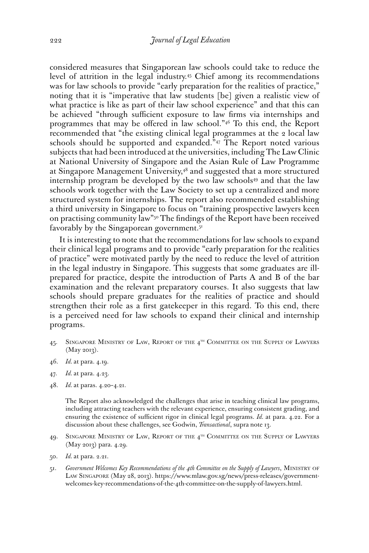considered measures that Singaporean law schools could take to reduce the level of attrition in the legal industry.45 Chief among its recommendations was for law schools to provide "early preparation for the realities of practice," noting that it is "imperative that law students [be] given a realistic view of what practice is like as part of their law school experience" and that this can be achieved "through sufficient exposure to law firms via internships and programmes that may be offered in law school."46 To this end, the Report recommended that "the existing clinical legal programmes at the 2 local law schools should be supported and expanded."<sup>47</sup> The Report noted various subjects that had been introduced at the universities, including The Law Clinic at National University of Singapore and the Asian Rule of Law Programme at Singapore Management University,<sup>48</sup> and suggested that a more structured internship program be developed by the two law schools<sup>49</sup> and that the law schools work together with the Law Society to set up a centralized and more structured system for internships. The report also recommended establishing a third university in Singapore to focus on "training prospective lawyers keen on practising community law"50 The findings of the Report have been received favorably by the Singaporean government.<sup>51</sup>

It is interesting to note that the recommendations for law schools to expand their clinical legal programs and to provide "early preparation for the realities of practice" were motivated partly by the need to reduce the level of attrition in the legal industry in Singapore. This suggests that some graduates are illprepared for practice, despite the introduction of Parts A and B of the bar examination and the relevant preparatory courses. It also suggests that law schools should prepare graduates for the realities of practice and should strengthen their role as a first gatekeeper in this regard. To this end, there is a perceived need for law schools to expand their clinical and internship programs.

- 45. SINGAPORE MINISTRY OF LAW, REPORT OF THE 4<sup>TH</sup> COMMITTEE ON THE SUPPLY OF LAWYERS (May 2013).
- 46. *Id.* at para. 4.19.
- 47. *Id.* at para. 4.23.
- 48. *Id.* at paras. 4.20–4.21.

The Report also acknowledged the challenges that arise in teaching clinical law programs, including attracting teachers with the relevant experience, ensuring consistent grading, and ensuring the existence of sufficient rigor in clinical legal programs. *Id.* at para. 4.22. For a discussion about these challenges, see Godwin, *Transactional*, supra note 13.

- 49. SINGAPORE MINISTRY OF LAW, REPORT OF THE 4<sup>TH</sup> COMMITTEE ON THE SUPPLY OF LAWYERS (May 2013) para. 4.29.
- 50. *Id.* at para. 2.21.
- 51. *Government Welcomes Key Recommendations of the 4th Committee on the Supply of Lawyers*, Ministry of Law Singapore (May 28, 2013). [https://www.mlaw.gov.sg/news/press-releases/government](https://www.mlaw.gov.sg/news/press-releases/government-welcomes-key-recommendations-of-the-4th-committee-on-the-supply-of-lawyers.html)[welcomes-key-recommendations-of-the-4th-committee-on-the-supply-of-lawyers.html](https://www.mlaw.gov.sg/news/press-releases/government-welcomes-key-recommendations-of-the-4th-committee-on-the-supply-of-lawyers.html).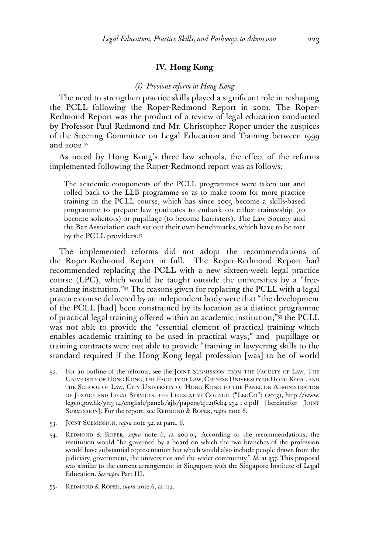# **IV. Hong Kong**

#### *(i) Previous reform in Hong Kong*

The need to strengthen practice skills played a significant role in reshaping the PCLL following the Roper-Redmond Report in 2001. The Roper-Redmond Report was the product of a review of legal education conducted by Professor Paul Redmond and Mr. Christopher Roper under the auspices of the Steering Committee on Legal Education and Training between 1999 and 2002.52

As noted by Hong Kong's three law schools, the effect of the reforms implemented following the Roper-Redmond report was as follows:

The academic components of the PCLL programmes were taken out and rolled back to the LLB programme so as to make room for more practice training in the PCLL course, which has since 2005 become a skills-based programme to prepare law graduates to embark on either traineeship (to become solicitors) or pupillage (to become barristers). The Law Society and the Bar Association each set out their own benchmarks, which have to be met by the PCLL providers.53

The implemented reforms did not adopt the recommendations of the Roper-Redmond Report in full. The Roper-Redmond Report had recommended replacing the PCLL with a new sixteen-week legal practice course (LPC), which would be taught outside the universities by a "freestanding institution."54 The reasons given for replacing the PCLL with a legal practice course delivered by an independent body were that "the development of the PCLL [had] been constrained by its location as a distinct programme of practical legal training offered within an academic institution;"55 the PCLL was not able to provide the "essential element of practical training which enables academic training to be used in practical ways;" and pupillage or training contracts were not able to provide "training in lawyering skills to the standard required if the Hong Kong legal profession [was] to be of world

- 52. For an outline of the reforms, see the Joint Submission from the Faculty of Law, The University of Hong Kong, the Faculty of Law, Chinese University of Hong Kong, and the School of Law, City University of Hong Kong to the Panel on Administration of Justice and Legal Services, the Legislative Council ("LegCo") (2013), [http://www.](http://www.legco.gov.hk/yr13-14/english/panels/ajls/papers/aj1216cb4-234-1-e.pdf) [legco.gov.hk/yr13-14/english/panels/ajls/papers/aj1216cb4-234-1-e.pdf](http://www.legco.gov.hk/yr13-14/english/panels/ajls/papers/aj1216cb4-234-1-e.pdf) [hereinafter Joint SUBMISSION]. For the report, see REDMOND & ROPER, *supra* note 6.
- 53. Joint Submission, *supra* note 52, at para. 6.
- 54. Redmond & Roper, *supra* note 6, at 200-05. According to the recommendations, the institution would "be governed by a board on which the two branches of the profession would have substantial representation but which would also include people drawn from the judiciary, government, the universities and the wider community." *Id.* at 357. This proposal was similar to the current arrangement in Singapore with the Singapore Institute of Legal Education. *See supra* Part III.
- 55. Redmond & Roper, *supra* note 6, at 112.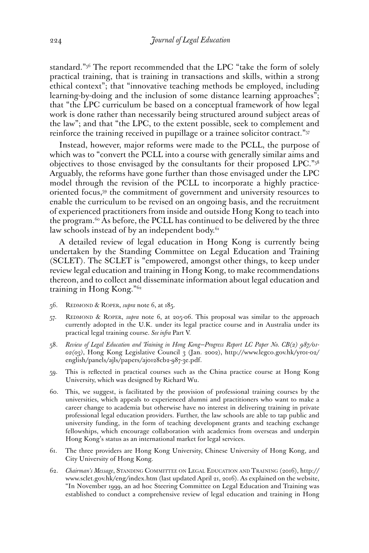standard."56 The report recommended that the LPC "take the form of solely practical training, that is training in transactions and skills, within a strong ethical context"; that "innovative teaching methods be employed, including learning-by-doing and the inclusion of some distance learning approaches"; that "the LPC curriculum be based on a conceptual framework of how legal work is done rather than necessarily being structured around subject areas of the law"; and that "the LPC, to the extent possible, seek to complement and reinforce the training received in pupillage or a trainee solicitor contract."57

Instead, however, major reforms were made to the PCLL, the purpose of which was to "convert the PCLL into a course with generally similar aims and objectives to those envisaged by the consultants for their proposed LPC."58 Arguably, the reforms have gone further than those envisaged under the LPC model through the revision of the PCLL to incorporate a highly practiceoriented focus,59 the commitment of government and university resources to enable the curriculum to be revised on an ongoing basis, and the recruitment of experienced practitioners from inside and outside Hong Kong to teach into the program.<sup>60</sup> As before, the PCLL has continued to be delivered by the three law schools instead of by an independent body. $61$ 

A detailed review of legal education in Hong Kong is currently being undertaken by the Standing Committee on Legal Education and Training (SCLET). The SCLET is "empowered, amongst other things, to keep under review legal education and training in Hong Kong, to make recommendations thereon, and to collect and disseminate information about legal education and training in Hong Kong."62

- 56. Redmond & Roper, *supra* note 6, at 185.
- 57. Redmond & Roper, *supra* note 6, at 205-06. This proposal was similar to the approach currently adopted in the U.K. under its legal practice course and in Australia under its practical legal training course. *See infra* Part V.
- 58. *Review of Legal Education and Training in Hong Kong—Progress Report LC Paper No. CB(2) 987/01- 02(03)*, Hong Kong Legislative Council 3 (Jan. 2002), [http://www.legco.gov.hk/yr01-02/](http://www.legco.gov.hk/yr01-02/english/panels/ajls/papers/aj0128cb2-987-3e.pdf) [english/panels/ajls/papers/aj0128cb2-987-3e.pdf.](http://www.legco.gov.hk/yr01-02/english/panels/ajls/papers/aj0128cb2-987-3e.pdf)
- 59. This is reflected in practical courses such as the China practice course at Hong Kong University, which was designed by Richard Wu.
- 60. This, we suggest, is facilitated by the provision of professional training courses by the universities, which appeals to experienced alumni and practitioners who want to make a career change to academia but otherwise have no interest in delivering training in private professional legal education providers. Further, the law schools are able to tap public and university funding, in the form of teaching development grants and teaching exchange fellowships, which encourage collaboration with academics from overseas and underpin Hong Kong's status as an international market for legal services.
- 61. The three providers are Hong Kong University, Chinese University of Hong Kong, and City University of Hong Kong.
- 62. *Chairman's Message*, Standing Committee on Legal Education and Training (2016), [http://](http://www.sclet.gov.hk/eng/index.htm) [www.sclet.gov.hk/eng/index.htm](http://www.sclet.gov.hk/eng/index.htm) (last updated April 21, 2016). As explained on the website, "In November 1999, an ad hoc Steering Committee on Legal Education and Training was established to conduct a comprehensive review of legal education and training in Hong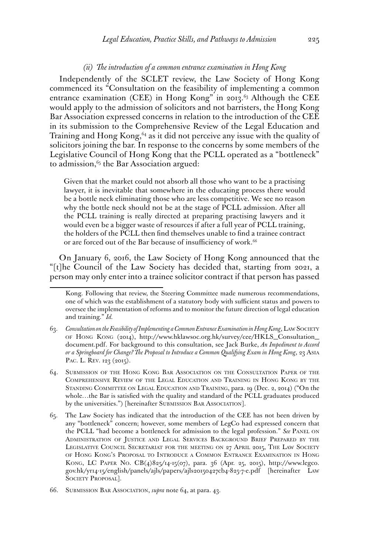#### *(ii) The introduction of a common entrance examination in Hong Kong*

Independently of the SCLET review, the Law Society of Hong Kong commenced its "Consultation on the feasibility of implementing a common entrance examination (CEE) in Hong Kong" in 2013.<sup>63</sup> Although the CEE would apply to the admission of solicitors and not barristers, the Hong Kong Bar Association expressed concerns in relation to the introduction of the CEE in its submission to the Comprehensive Review of the Legal Education and Training and Hong Kong,<sup>64</sup> as it did not perceive any issue with the quality of solicitors joining the bar. In response to the concerns by some members of the Legislative Council of Hong Kong that the PCLL operated as a "bottleneck" to admission,<sup>65</sup> the Bar Association argued:

Given that the market could not absorb all those who want to be a practising lawyer, it is inevitable that somewhere in the educating process there would be a bottle neck eliminating those who are less competitive. We see no reason why the bottle neck should not be at the stage of PCLL admission. After all the PCLL training is really directed at preparing practising lawyers and it would even be a bigger waste of resources if after a full year of PCLL training, the holders of the PCLL then find themselves unable to find a trainee contract or are forced out of the Bar because of insufficiency of work.<sup>66</sup>

On January 6, 2016, the Law Society of Hong Kong announced that the "[t]he Council of the Law Society has decided that, starting from 2021, a person may only enter into a trainee solicitor contract if that person has passed

Kong. Following that review, the Steering Committee made numerous recommendations, one of which was the establishment of a statutory body with sufficient status and powers to oversee the implementation of reforms and to monitor the future direction of legal education and training." *Id.*

<sup>63.</sup> *Consultation on the Feasibility of Implementing a Common Entrance Examination in Hong Kong*, Law Society of Hong Kong (2014), [http://www.hklawsoc.org.hk/survey/cee/HKLS\\_Consultation\\_](http://www.hklawsoc.org.hk/survey/cee/HKLS_Consultation_document.pdf) [document.pdf.](http://www.hklawsoc.org.hk/survey/cee/HKLS_Consultation_document.pdf) For background to this consultation, see Jack Burke, *An Impediment to Accord or a Springboard for Change? The Proposal to Introduce a Common Qualifying Exam in Hong Kong*, 23 Asia PAC. L. REV. 123 (2015).

<sup>64.</sup> Submission of the Hong Kong Bar Association on the Consultation Paper of the Comprehensive Review of the Legal Education and Training in Hong Kong by the Standing Committee on Legal Education and Training, para. 19 (Dec. 2, 2014) ("On the whole…the Bar is satisfied with the quality and standard of the PCLL graduates produced by the universities.") [hereinafter SUBMISSION BAR ASSOCIATION].

<sup>65.</sup> The Law Society has indicated that the introduction of the CEE has not been driven by any "bottleneck" concern; however, some members of LegCo had expressed concern that the PCLL "had become a bottleneck for admission to the legal profession." See PANEL ON Administration of Justice and Legal Services Background Brief Prepared by the LEGISLATIVE COUNCIL SECRETARIAT FOR THE MEETING ON 27 APRIL 2015, THE LAW SOCIETY of Hong Kong's Proposal to Introduce <sup>a</sup> Common Entrance Examination in Hong Kong, LC Paper No. CB(4)825/14-15(07), para. 36 (Apr. 25, 2015), [http://www.legco.](http://www.legco.gov.hk/yr14-15/english/panels/ajls/papers/ajls20150427cb4-825-7-e.pdf) [gov.hk/yr14-15/english/panels/ajls/papers/ajls20150427cb4-825-7-e.pdf](http://www.legco.gov.hk/yr14-15/english/panels/ajls/papers/ajls20150427cb4-825-7-e.pdf) [hereinafter Law SOCIETY PROPOSAL].

<sup>66.</sup> Submission Bar Association, *supra* note 64, at para. 43.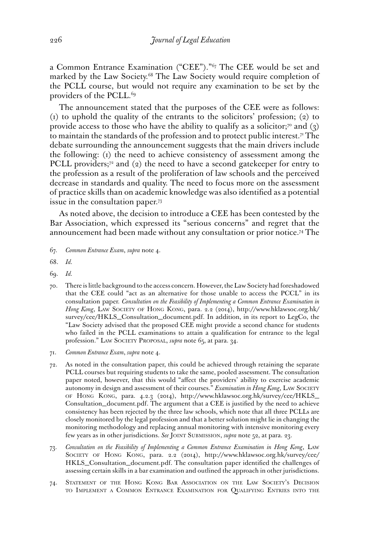a Common Entrance Examination ("CEE")."67 The CEE would be set and marked by the Law Society.<sup>68</sup> The Law Society would require completion of the PCLL course, but would not require any examination to be set by the providers of the PCLL.<sup>69</sup>

The announcement stated that the purposes of the CEE were as follows: (1) to uphold the quality of the entrants to the solicitors' profession; (2) to provide access to those who have the ability to qualify as a solicitor;<sup>70</sup> and (3) to maintain the standards of the profession and to protect public interest.<sup>71</sup> The debate surrounding the announcement suggests that the main drivers include the following: (1) the need to achieve consistency of assessment among the PCLL providers; $7^2$  and (2) the need to have a second gatekeeper for entry to the profession as a result of the proliferation of law schools and the perceived decrease in standards and quality. The need to focus more on the assessment of practice skills than on academic knowledge was also identified as a potential issue in the consultation paper.73

As noted above, the decision to introduce a CEE has been contested by the Bar Association, which expressed its "serious concerns" and regret that the announcement had been made without any consultation or prior notice.74 The

- 67. *Common Entrance Exam*, *supra* note 4.
- 68. *Id.*
- 69. *Id.*
- 70. There is little background to the access concern. However, the Law Society had foreshadowed that the CEE could "act as an alternative for those unable to access the PCCL" in its consultation paper. *Consultation on the Feasibility of Implementing a Common Entrance Examination in Hong Kong*, Law Society of Hong Kong, para. 2.2 (2014), [http://www.hklawsoc.org.hk/](http://www.hklawsoc.org.hk/survey/cee/HKLS_Consultation_document.pdf) [survey/cee/HKLS\\_Consultation\\_document.pdf](http://www.hklawsoc.org.hk/survey/cee/HKLS_Consultation_document.pdf). In addition, in its report to LegCo, the "Law Society advised that the proposed CEE might provide a second chance for students who failed in the PCLL examinations to attain a qualification for entrance to the legal profession." LAW SOCIETY PROPOSAL, *supra* note 65, at para. 34.
- 71. *Common Entrance Exam*, *supra* note 4.
- 72. As noted in the consultation paper, this could be achieved through retaining the separate PCLL courses but requiring students to take the same, pooled assessment. The consultation paper noted, however, that this would "affect the providers' ability to exercise academic autonomy in design and assessment of their courses." *Examination in Hong Kong*, Law Society of Hong Kong, para. 4.2.3 (2014), [http://www.hklawsoc.org.hk/survey/cee/HKLS\\_](http://www.hklawsoc.org.hk/survey/cee/HKLS_Consultation_document.pdf) [Consultation\\_document.pdf](http://www.hklawsoc.org.hk/survey/cee/HKLS_Consultation_document.pdf). The argument that a CEE is justified by the need to achieve consistency has been rejected by the three law schools, which note that all three PCLLs are closely monitored by the legal profession and that a better solution might lie in changing the monitoring methodology and replacing annual monitoring with intensive monitoring every few years as in other jurisdictions. *See* Joint Submission, *supra* note 52, at para. 23.
- 73. *Consultation on the Feasibility of Implementing a Common Entrance Examination in Hong Kong*, Law Society of Hong Kong, para. 2.2 (2014), [http://www.hklawsoc.org.hk/survey/cee/](http://www.hklawsoc.org.hk/survey/cee/HKLS_Consultation_document.pdf) [HKLS\\_Consultation\\_document.pdf](http://www.hklawsoc.org.hk/survey/cee/HKLS_Consultation_document.pdf). The consultation paper identified the challenges of assessing certain skills in a bar examination and outlined the approach in other jurisdictions.
- 74. Statement of the Hong Kong Bar Association on the Law Society's Decision to Implement <sup>a</sup> Common Entrance Examination for Qualifying Entries into the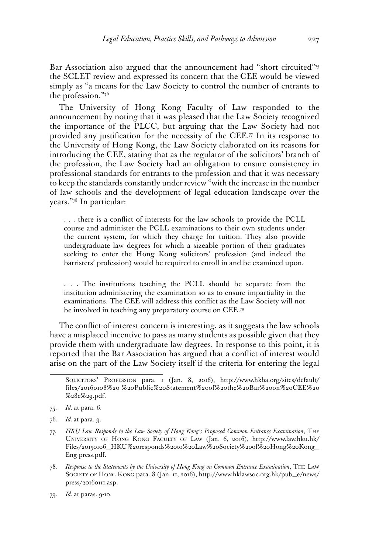Bar Association also argued that the announcement had "short circuited"<sup>75</sup> the SCLET review and expressed its concern that the CEE would be viewed simply as "a means for the Law Society to control the number of entrants to the profession."76

The University of Hong Kong Faculty of Law responded to the announcement by noting that it was pleased that the Law Society recognized the importance of the PLCC, but arguing that the Law Society had not provided any justification for the necessity of the CEE.<sup>77</sup> In its response to the University of Hong Kong, the Law Society elaborated on its reasons for introducing the CEE, stating that as the regulator of the solicitors' branch of the profession, the Law Society had an obligation to ensure consistency in professional standards for entrants to the profession and that it was necessary to keep the standards constantly under review "with the increase in the number of law schools and the development of legal education landscape over the years."78 In particular:

. . . there is a conflict of interests for the law schools to provide the PCLL course and administer the PCLL examinations to their own students under the current system, for which they charge for tuition. They also provide undergraduate law degrees for which a sizeable portion of their graduates seeking to enter the Hong Kong solicitors' profession (and indeed the barristers' profession) would be required to enroll in and be examined upon.

. . . The institutions teaching the PCLL should be separate from the institution administering the examination so as to ensure impartiality in the examinations. The CEE will address this conflict as the Law Society will not be involved in teaching any preparatory course on CEE.79

The conflict-of-interest concern is interesting, as it suggests the law schools have a misplaced incentive to pass as many students as possible given that they provide them with undergraduate law degrees. In response to this point, it is reported that the Bar Association has argued that a conflict of interest would arise on the part of the Law Society itself if the criteria for entering the legal

- 78. *Response to the Statements by the University of Hong Kong on Common Entrance Examination*, The Law Society of Hong Kong para. 8 (Jan. 11, 2016), [http://www.hklawsoc.org.hk/pub\\_e/news/](http://www.hklawsoc.org.hk/pub_e/news/press/20160111.asp) [press/20160111.asp](http://www.hklawsoc.org.hk/pub_e/news/press/20160111.asp).
- 79. *Id.* at paras. 9-10.

Solicitors' Profession para. 1 (Jan. 8, 2016), [http://www.hkba.org/sites/default/](http://www.hkba.org/sites/default/files/20160108%20-%20Public%20Statement%20of%20the%20Bar%20on%20CEE%20%28e%29.pdf) [files/20160108%20-%20Public%20Statement%20of%20the%20Bar%20on%20CEE%20](http://www.hkba.org/sites/default/files/20160108%20-%20Public%20Statement%20of%20the%20Bar%20on%20CEE%20%28e%29.pdf) [%28e%29.pdf](http://www.hkba.org/sites/default/files/20160108%20-%20Public%20Statement%20of%20the%20Bar%20on%20CEE%20%28e%29.pdf).

<sup>75.</sup> *Id.* at para. 6.

<sup>76.</sup> *Id.* at para. 9.

<sup>77.</sup> *HKU Law Responds to the Law Society of Hong Kong's Proposed Common Entrance Examination*, The University of Hong Kong Faculty of Law (Jan. 6, 2016), [http://www.law.hku.hk/](http://www.law.hku.hk/Files/20150106_HKU%20responds%20to%20Law%20Society%20of%20Hong%20Kong_Eng-press.pdf) [Files/20150106\\_HKU%20responds%20to%20Law%20Society%20of%20Hong%20Kong\\_](http://www.law.hku.hk/Files/20150106_HKU%20responds%20to%20Law%20Society%20of%20Hong%20Kong_Eng-press.pdf) [Eng-press.pdf.](http://www.law.hku.hk/Files/20150106_HKU%20responds%20to%20Law%20Society%20of%20Hong%20Kong_Eng-press.pdf)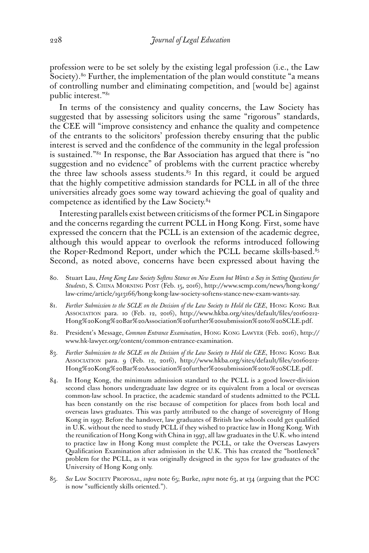profession were to be set solely by the existing legal profession (i.e., the Law Society).<sup>80</sup> Further, the implementation of the plan would constitute "a means of controlling number and eliminating competition, and [would be] against public interest."81

In terms of the consistency and quality concerns, the Law Society has suggested that by assessing solicitors using the same "rigorous" standards, the CEE will "improve consistency and enhance the quality and competence of the entrants to the solicitors' profession thereby ensuring that the public interest is served and the confidence of the community in the legal profession is sustained."82 In response, the Bar Association has argued that there is "no suggestion and no evidence" of problems with the current practice whereby the three law schools assess students.<sup>83</sup> In this regard, it could be argued that the highly competitive admission standards for PCLL in all of the three universities already goes some way toward achieving the goal of quality and competence as identified by the Law Society.84

Interesting parallels exist between criticisms of the former PCL in Singapore and the concerns regarding the current PCLL in Hong Kong. First, some have expressed the concern that the PCLL is an extension of the academic degree, although this would appear to overlook the reforms introduced following the Roper-Redmond Report, under which the PCLL became skills-based. $85$ Second, as noted above, concerns have been expressed about having the

- 80. Stuart Lau, *Hong Kong Law Society Softens Stance on New Exam but Wants a Say in Setting Questions for Students*, S. China Morning Post (Feb. 15, 2016), http://www.scmp.com/news/hong-kong/ law-crime/article/1913166/hong-kong-law-society-softens-stance-new-exam-wants-say.
- 81. *Further Submission to the SCLE on the Decision of the Law Society to Hold the CEE*, Hong Kong Bar Association para. 10 (Feb. 12, 2016), [http://www.hkba.org/sites/default/files/20160212-](http://www.hkba.org/sites/default/files/20160212-Hong%20Kong%20Bar%20Association%20further%20submission%20to%20SCLE.pdf) [Hong%20Kong%20Bar%20Association%20further%20submission%20to%20SCLE.pdf.](http://www.hkba.org/sites/default/files/20160212-Hong%20Kong%20Bar%20Association%20further%20submission%20to%20SCLE.pdf)
- 82. President's Message, *Common Entrance Examination*, Hong Kong Lawyer (Feb. 2016), http:// www.hk-lawyer.org/content/common-entrance-examination.
- 83. *Further Submission to the SCLE on the Decision of the Law Society to Hold the CEE*, Hong Kong Bar Association para. 9 (Feb. 12, 2016), [http://www.hkba.org/sites/default/files/20160212-](http://www.hkba.org/sites/default/files/20160212-Hong%20Kong%20Bar%20Association%20further%20submission%20to%20SCLE.pdf) [Hong%20Kong%20Bar%20Association%20further%20submission%20to%20SCLE.pdf.](http://www.hkba.org/sites/default/files/20160212-Hong%20Kong%20Bar%20Association%20further%20submission%20to%20SCLE.pdf)
- 84. In Hong Kong, the minimum admission standard to the PCLL is a good lower-division second class honors undergraduate law degree or its equivalent from a local or overseas common-law school. In practice, the academic standard of students admitted to the PCLL has been constantly on the rise because of competition for places from both local and overseas laws graduates. This was partly attributed to the change of sovereignty of Hong Kong in 1997. Before the handover, law graduates of British law schools could get qualified in U.K. without the need to study PCLL if they wished to practice law in Hong Kong. With the reunification of Hong Kong with China in 1997, all law graduates in the U.K. who intend to practice law in Hong Kong must complete the PCLL, or take the Overseas Lawyers Qualification Examination after admission in the U.K. This has created the "bottleneck" problem for the PCLL, as it was originally designed in the 1970s for law graduates of the University of Hong Kong only.
- 85. *See* Law Society Proposal, *supra* note 65; Burke, *supra* note 63, at 134 (arguing that the PCC is now "sufficiently skills oriented.").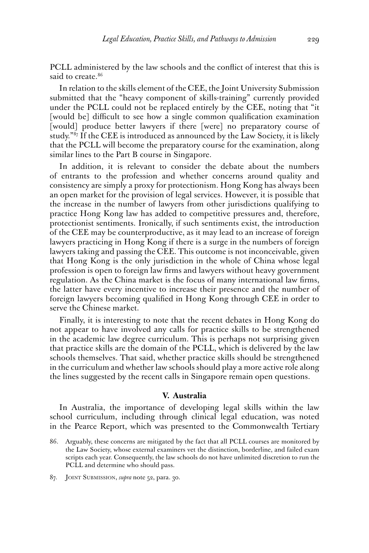PCLL administered by the law schools and the conflict of interest that this is said to create.<sup>86</sup>

In relation to the skills element of the CEE, the Joint University Submission submitted that the "heavy component of skills-training" currently provided under the PCLL could not be replaced entirely by the CEE, noting that "it [would be] difficult to see how a single common qualification examination [would] produce better lawyers if there [were] no preparatory course of study."87 If the CEE is introduced as announced by the Law Society, it is likely that the PCLL will become the preparatory course for the examination, along similar lines to the Part B course in Singapore.

In addition, it is relevant to consider the debate about the numbers of entrants to the profession and whether concerns around quality and consistency are simply a proxy for protectionism. Hong Kong has always been an open market for the provision of legal services. However, it is possible that the increase in the number of lawyers from other jurisdictions qualifying to practice Hong Kong law has added to competitive pressures and, therefore, protectionist sentiments. Ironically, if such sentiments exist, the introduction of the CEE may be counterproductive, as it may lead to an increase of foreign lawyers practicing in Hong Kong if there is a surge in the numbers of foreign lawyers taking and passing the CEE. This outcome is not inconceivable, given that Hong Kong is the only jurisdiction in the whole of China whose legal profession is open to foreign law firms and lawyers without heavy government regulation. As the China market is the focus of many international law firms, the latter have every incentive to increase their presence and the number of foreign lawyers becoming qualified in Hong Kong through CEE in order to serve the Chinese market.

Finally, it is interesting to note that the recent debates in Hong Kong do not appear to have involved any calls for practice skills to be strengthened in the academic law degree curriculum. This is perhaps not surprising given that practice skills are the domain of the PCLL, which is delivered by the law schools themselves. That said, whether practice skills should be strengthened in the curriculum and whether law schools should play a more active role along the lines suggested by the recent calls in Singapore remain open questions.

#### **V. Australia**

In Australia, the importance of developing legal skills within the law school curriculum, including through clinical legal education, was noted in the Pearce Report, which was presented to the Commonwealth Tertiary

87. Joint Submission, *supra* note 52, para. 30.

<sup>86.</sup> Arguably, these concerns are mitigated by the fact that all PCLL courses are monitored by the Law Society, whose external examiners vet the distinction, borderline, and failed exam scripts each year. Consequently, the law schools do not have unlimited discretion to run the PCLL and determine who should pass.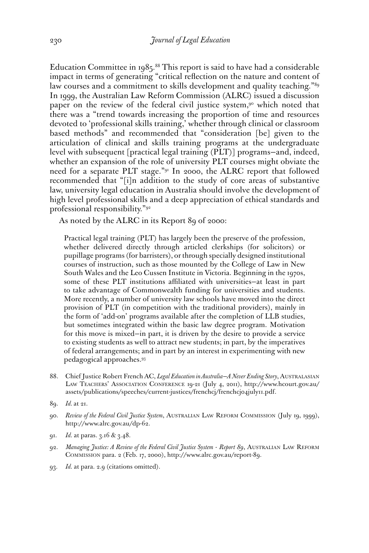Education Committee in 1985.<sup>88</sup> This report is said to have had a considerable impact in terms of generating "critical reflection on the nature and content of law courses and a commitment to skills development and quality teaching."<sup>89</sup> In 1999, the Australian Law Reform Commission (ALRC) issued a discussion paper on the review of the federal civil justice system,<sup>90</sup> which noted that there was a "trend towards increasing the proportion of time and resources devoted to 'professional skills training,' whether through clinical or classroom based methods" and recommended that "consideration [be] given to the articulation of clinical and skills training programs at the undergraduate level with subsequent [practical legal training (PLT)] programs—and, indeed, whether an expansion of the role of university PLT courses might obviate the need for a separate PLT stage."91 In 2000, the ALRC report that followed recommended that "[i]n addition to the study of core areas of substantive law, university legal education in Australia should involve the development of high level professional skills and a deep appreciation of ethical standards and professional responsibility."92

As noted by the ALRC in its Report 89 of 2000:

Practical legal training (PLT) has largely been the preserve of the profession, whether delivered directly through articled clerkships (for solicitors) or pupillage programs (for barristers), or through specially designed institutional courses of instruction, such as those mounted by the College of Law in New South Wales and the Leo Cussen Institute in Victoria. Beginning in the 1970s, some of these PLT institutions affiliated with universities—at least in part to take advantage of Commonwealth funding for universities and students. More recently, a number of university law schools have moved into the direct provision of PLT (in competition with the traditional providers), mainly in the form of 'add-on' programs available after the completion of LLB studies, but sometimes integrated within the basic law degree program. Motivation for this move is mixed—in part, it is driven by the desire to provide a service to existing students as well to attract new students; in part, by the imperatives of federal arrangements; and in part by an interest in experimenting with new pedagogical approaches.93

- 88. Chief Justice Robert French AC, *Legal Education in Australia—A Never Ending Story*, Australasian Law Teachers' Association Conference 19-21 (July 4, 2011), [http://www.hcourt.gov.au/](http://www.hcourt.gov.au/assets/publications/speeches/current-justices/frenchcj/frenchcj04july11.pdf) [assets/publications/speeches/current-justices/frenchcj/frenchcj04july11.pdf](http://www.hcourt.gov.au/assets/publications/speeches/current-justices/frenchcj/frenchcj04july11.pdf).
- 89. *Id.* at 21.
- 90. *Review of the Federal Civil Justice System*, Australian Law Reform Commission (July 19, 1999), <http://www.alrc.gov.au/dp-62>.
- 91. *Id.* at paras. 3.16 & 3.48.
- 92. *Managing Justice: A Review of the Federal Civil Justice System Report 89*, Australian Law Reform Commission para. 2 (Feb. 17, 2000), [http://www.alrc.gov.au/report-89.](http://www.alrc.gov.au/report-89)
- 93. *Id.* at para. 2.9 (citations omitted).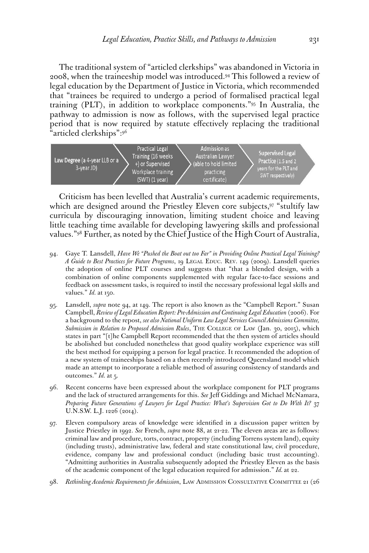The traditional system of "articled clerkships" was abandoned in Victoria in 2008, when the traineeship model was introduced.94 This followed a review of legal education by the Department of Justice in Victoria, which recommended that "trainees be required to undergo a period of formalised practical legal training (PLT), in addition to workplace components."95 In Australia, the pathway to admission is now as follows, with the supervised legal practice period that is now required by statute effectively replacing the traditional "articled clerkships":96



Criticism has been levelled that Australia's current academic requirements, which are designed around the Priestley Eleven core subjects,<sup>97</sup> "stultify law curricula by discouraging innovation, limiting student choice and leaving little teaching time available for developing lawyering skills and professional values."98 Further, as noted by the Chief Justice of the High Court of Australia,

- 94. Gaye T. Lansdell, *Have We "Pushed the Boat out too Far" in Providing Online Practical Legal Training? A Guide to Best Practices for Future Programs*, 19 LEGAL EDUC. REV. 149 (2009). Lansdell queries the adoption of online PLT courses and suggests that "that a blended design, with a combination of online components supplemented with regular face-to-face sessions and feedback on assessment tasks, is required to instil the necessary professional legal skills and values." *Id.* at 150.
- 95. Lansdell, *supra* note 94, at 149. The report is also known as the "Campbell Report." Susan Campbell, *Review of Legal Education Report: Pre-Admission and Continuing Legal Education* (2006). For a background to the repost, *see also National Uniform Law Legal Services Council Admissions Committee, Submission in Relation to Proposed Admission Rules*, The College of Law (Jan. 30, 2015), which states in part "[t]he Campbell Report recommended that the then system of articles should be abolished but concluded nonetheless that good quality workplace experience was still the best method for equipping a person for legal practice. It recommended the adoption of a new system of traineeships based on a then recently introduced Queensland model which made an attempt to incorporate a reliable method of assuring consistency of standards and outcomes." *Id.* at 5.
- 96. Recent concerns have been expressed about the workplace component for PLT programs and the lack of structured arrangements for this. *See* Jeff Giddings and Michael McNamara, *Preparing Future Generations of Lawyers for Legal Practice: What's Supervision Got to Do With It?* 37 U.N.S.W. L.J. 1226 (2014).
- 97. Eleven compulsory areas of knowledge were identified in a discussion paper written by Justice Priestley in 1992. *See* French, *supra* note 88, at 21-22. The eleven areas are as follows: criminal law and procedure, torts, contract, property (including Torrens system land), equity (including trusts), administrative law, federal and state constitutional law, civil procedure, evidence, company law and professional conduct (including basic trust accounting). "Admitting authorities in Australia subsequently adopted the Priestley Eleven as the basis of the academic component of the legal education required for admission." *Id.* at 22.
- 98. Rethinking Academic Requirements for Admission, LAW ADMISSION CONSULTATIVE COMMITTEE 21 (26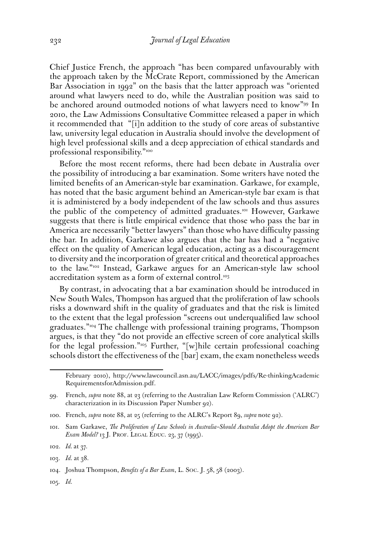Chief Justice French, the approach "has been compared unfavourably with the approach taken by the McCrate Report, commissioned by the American Bar Association in 1992" on the basis that the latter approach was "oriented around what lawyers need to do, while the Australian position was said to be anchored around outmoded notions of what lawyers need to know"<sup>99</sup> In 2010, the Law Admissions Consultative Committee released a paper in which it recommended that "[i]n addition to the study of core areas of substantive law, university legal education in Australia should involve the development of high level professional skills and a deep appreciation of ethical standards and professional responsibility."100

Before the most recent reforms, there had been debate in Australia over the possibility of introducing a bar examination. Some writers have noted the limited benefits of an American-style bar examination. Garkawe, for example, has noted that the basic argument behind an American-style bar exam is that it is administered by a body independent of the law schools and thus assures the public of the competency of admitted graduates.101 However, Garkawe suggests that there is little empirical evidence that those who pass the bar in America are necessarily "better lawyers" than those who have difficulty passing the bar. In addition, Garkawe also argues that the bar has had a "negative effect on the quality of American legal education, acting as a discouragement to diversity and the incorporation of greater critical and theoretical approaches to the law."102 Instead, Garkawe argues for an American-style law school accreditation system as a form of external control.<sup>103</sup>

By contrast, in advocating that a bar examination should be introduced in New South Wales, Thompson has argued that the proliferation of law schools risks a downward shift in the quality of graduates and that the risk is limited to the extent that the legal profession "screens out underqualified law school graduates."104 The challenge with professional training programs, Thompson argues, is that they "do not provide an effective screen of core analytical skills for the legal profession."105 Further, "[w]hile certain professional coaching schools distort the effectiveness of the [bar] exam, the exam nonetheless weeds

105. *Id.*

February 2010), [http://www.lawcouncil.asn.au/LACC/images/pdfs/Re-thinkingAcademic](http://www.lawcouncil.asn.au/LACC/images/pdfs/Re-thinkingAcademicRequirementsforAdmission.pdf) [RequirementsforAdmission.pdf](http://www.lawcouncil.asn.au/LACC/images/pdfs/Re-thinkingAcademicRequirementsforAdmission.pdf).

<sup>99.</sup> French, *supra* note 88, at 23 (referring to the Australian Law Reform Commission ('ALRC') characterization in its Discussion Paper Number 92).

<sup>100.</sup> French, *supra* note 88, at 25 (referring to the ALRC's Report 89, *supra* note 92).

<sup>101.</sup> Sam Garkawe, *The Proliferation of Law Schools in Australia–Should Australia Adopt the American Bar Exam Model?* 13 J. PROF. LEGAL EDUC. 23, 37 (1995).

<sup>102.</sup> *Id.* at 37.

<sup>103.</sup> *Id.* at 38.

<sup>104.</sup> Joshua Thompson, *Benefits of a Bar Exam*, L. Soc. J. 58, 58 (2003).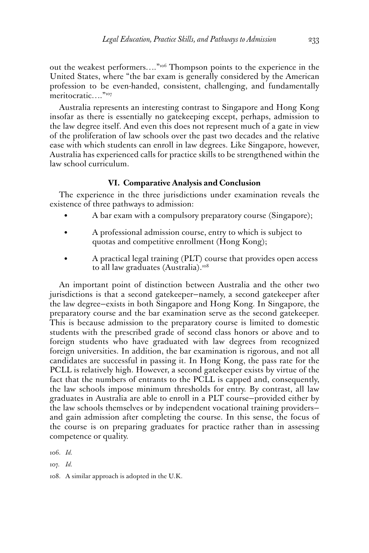out the weakest performers…."106 Thompson points to the experience in the United States, where "the bar exam is generally considered by the American profession to be even-handed, consistent, challenging, and fundamentally meritocratic…."<sup>107</sup>

Australia represents an interesting contrast to Singapore and Hong Kong insofar as there is essentially no gatekeeping except, perhaps, admission to the law degree itself. And even this does not represent much of a gate in view of the proliferation of law schools over the past two decades and the relative ease with which students can enroll in law degrees. Like Singapore, however, Australia has experienced calls for practice skills to be strengthened within the law school curriculum.

# **VI. Comparative Analysis and Conclusion**

The experience in the three jurisdictions under examination reveals the existence of three pathways to admission:

- A bar exam with a compulsory preparatory course (Singapore);
- A professional admission course, entry to which is subject to quotas and competitive enrollment (Hong Kong);
- A practical legal training (PLT) course that provides open access to all law graduates (Australia).<sup>108</sup>

An important point of distinction between Australia and the other two jurisdictions is that a second gatekeeper—namely, a second gatekeeper after the law degree—exists in both Singapore and Hong Kong. In Singapore, the preparatory course and the bar examination serve as the second gatekeeper. This is because admission to the preparatory course is limited to domestic students with the prescribed grade of second class honors or above and to foreign students who have graduated with law degrees from recognized foreign universities. In addition, the bar examination is rigorous, and not all candidates are successful in passing it. In Hong Kong, the pass rate for the PCLL is relatively high. However, a second gatekeeper exists by virtue of the fact that the numbers of entrants to the PCLL is capped and, consequently, the law schools impose minimum thresholds for entry. By contrast, all law graduates in Australia are able to enroll in a PLT course—provided either by the law schools themselves or by independent vocational training providers and gain admission after completing the course. In this sense, the focus of the course is on preparing graduates for practice rather than in assessing competence or quality.

106. *Id.*

107. *Id.*

<sup>108.</sup> A similar approach is adopted in the U.K.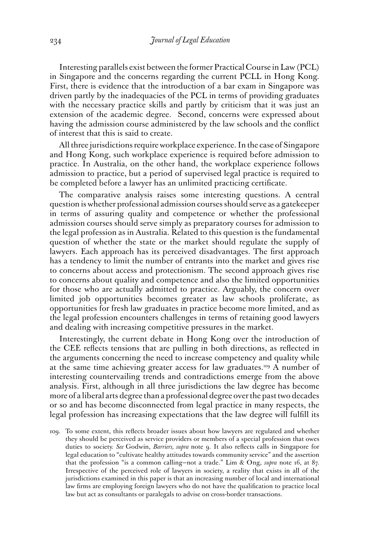Interesting parallels exist between the former Practical Course in Law (PCL) in Singapore and the concerns regarding the current PCLL in Hong Kong. First, there is evidence that the introduction of a bar exam in Singapore was driven partly by the inadequacies of the PCL in terms of providing graduates with the necessary practice skills and partly by criticism that it was just an extension of the academic degree. Second, concerns were expressed about having the admission course administered by the law schools and the conflict of interest that this is said to create.

All three jurisdictions require workplace experience. In the case of Singapore and Hong Kong, such workplace experience is required before admission to practice. In Australia, on the other hand, the workplace experience follows admission to practice, but a period of supervised legal practice is required to be completed before a lawyer has an unlimited practicing certificate.

The comparative analysis raises some interesting questions. A central question is whether professional admission courses should serve as a gatekeeper in terms of assuring quality and competence or whether the professional admission courses should serve simply as preparatory courses for admission to the legal profession as in Australia. Related to this question is the fundamental question of whether the state or the market should regulate the supply of lawyers. Each approach has its perceived disadvantages. The first approach has a tendency to limit the number of entrants into the market and gives rise to concerns about access and protectionism. The second approach gives rise to concerns about quality and competence and also the limited opportunities for those who are actually admitted to practice. Arguably, the concern over limited job opportunities becomes greater as law schools proliferate, as opportunities for fresh law graduates in practice become more limited, and as the legal profession encounters challenges in terms of retaining good lawyers and dealing with increasing competitive pressures in the market.

Interestingly, the current debate in Hong Kong over the introduction of the CEE reflects tensions that are pulling in both directions, as reflected in the arguments concerning the need to increase competency and quality while at the same time achieving greater access for law graduates.<sup>109</sup> A number of interesting countervailing trends and contradictions emerge from the above analysis. First, although in all three jurisdictions the law degree has become more of a liberal arts degree than a professional degree over the past two decades or so and has become disconnected from legal practice in many respects, the legal profession has increasing expectations that the law degree will fulfill its

109. To some extent, this reflects broader issues about how lawyers are regulated and whether they should be perceived as service providers or members of a special profession that owes duties to society. *See* Godwin, *Barriers, supra* note 9. It also reflects calls in Singapore for legal education to "cultivate healthy attitudes towards community service" and the assertion that the profession "is a common calling—not a trade." Lim & Ong, *supra* note 16, at 87. Irrespective of the perceived role of lawyers in society, a reality that exists in all of the jurisdictions examined in this paper is that an increasing number of local and international law firms are employing foreign lawyers who do not have the qualification to practice local law but act as consultants or paralegals to advise on cross-border transactions.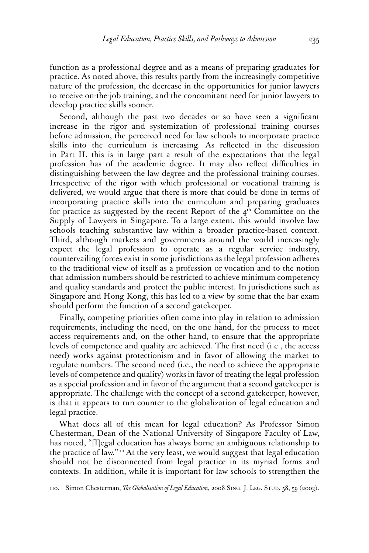function as a professional degree and as a means of preparing graduates for practice. As noted above, this results partly from the increasingly competitive nature of the profession, the decrease in the opportunities for junior lawyers to receive on-the-job training, and the concomitant need for junior lawyers to develop practice skills sooner.

Second, although the past two decades or so have seen a significant increase in the rigor and systemization of professional training courses before admission, the perceived need for law schools to incorporate practice skills into the curriculum is increasing. As reflected in the discussion in Part II, this is in large part a result of the expectations that the legal profession has of the academic degree. It may also reflect difficulties in distinguishing between the law degree and the professional training courses. Irrespective of the rigor with which professional or vocational training is delivered, we would argue that there is more that could be done in terms of incorporating practice skills into the curriculum and preparing graduates for practice as suggested by the recent Report of the  $4<sup>th</sup>$  Committee on the Supply of Lawyers in Singapore. To a large extent, this would involve law schools teaching substantive law within a broader practice-based context. Third, although markets and governments around the world increasingly expect the legal profession to operate as a regular service industry, countervailing forces exist in some jurisdictions as the legal profession adheres to the traditional view of itself as a profession or vocation and to the notion that admission numbers should be restricted to achieve minimum competency and quality standards and protect the public interest. In jurisdictions such as Singapore and Hong Kong, this has led to a view by some that the bar exam should perform the function of a second gatekeeper.

Finally, competing priorities often come into play in relation to admission requirements, including the need, on the one hand, for the process to meet access requirements and, on the other hand, to ensure that the appropriate levels of competence and quality are achieved. The first need (i.e., the access need) works against protectionism and in favor of allowing the market to regulate numbers. The second need (i.e., the need to achieve the appropriate levels of competence and quality) works in favor of treating the legal profession as a special profession and in favor of the argument that a second gatekeeper is appropriate. The challenge with the concept of a second gatekeeper, however, is that it appears to run counter to the globalization of legal education and legal practice.

What does all of this mean for legal education? As Professor Simon Chesterman, Dean of the National University of Singapore Faculty of Law, has noted, "[l]egal education has always borne an ambiguous relationship to the practice of law."110 At the very least, we would suggest that legal education should not be disconnected from legal practice in its myriad forms and contexts. In addition, while it is important for law schools to strengthen the

110. Simon Chesterman, *The Globalisation of Legal Education*, 2008 Sing. J. Leg. Stud. 58, 59 (2003).